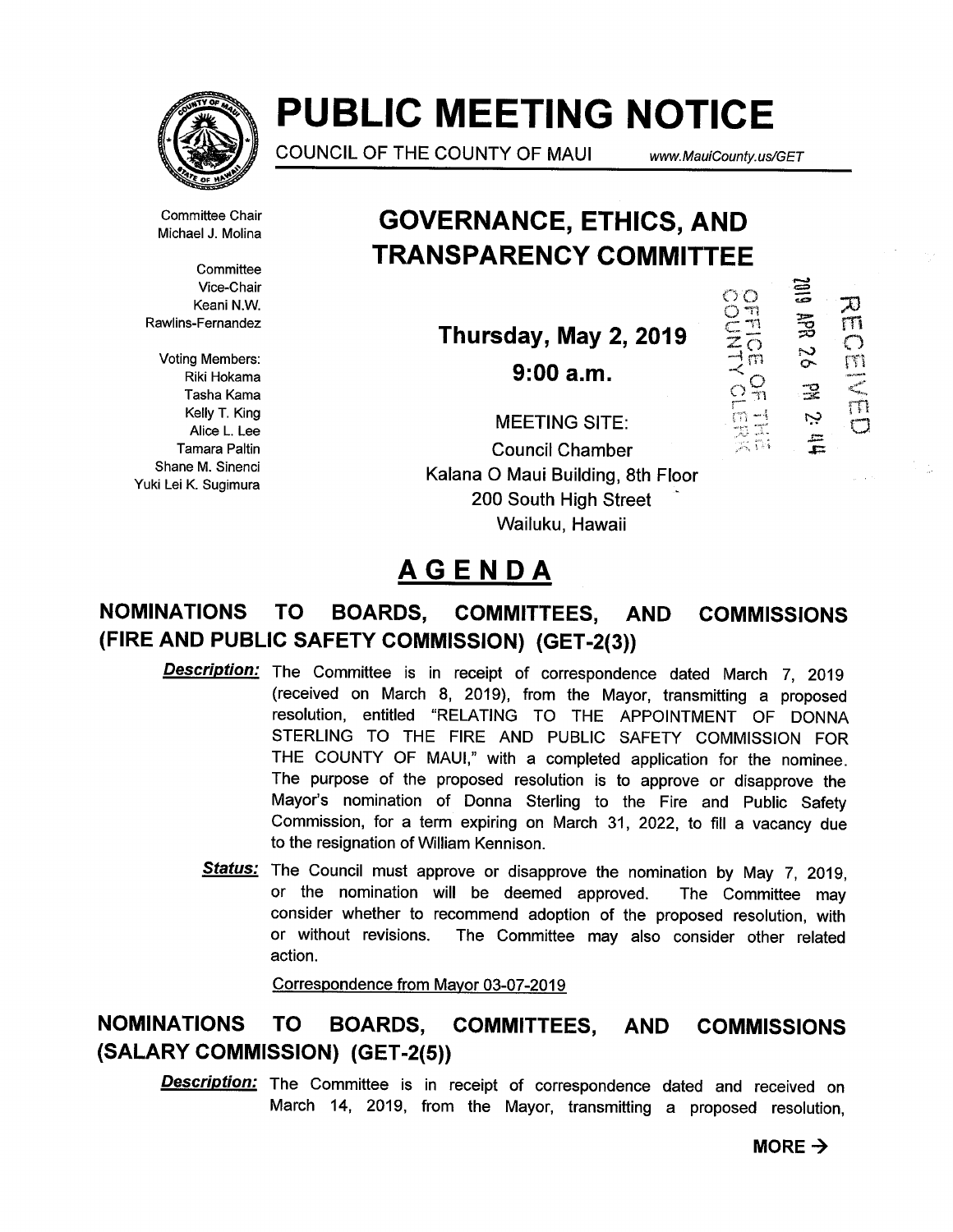

# PUBLIC MEETING NOTICE

COUNCIL OF THE COUNTY OF MAUI www.MauiCounty. us/GET

CONTION

 $\frac{1}{n}$ 

 $\Xi$ 

.~

پ

**RECE**<br>RECE

 $\frac{m}{c}$ 

Committee Chair Michael J. Molina

**Committee** Vice-Chair Keani N.W. Rawlins-Fernandez

Voting Members: Riki Hokama Tasha Kama Kelly T. King Alice L. Lee Tamara Paltin Shane M. Sinenci Yuki Lei K. Sugimura

## GOVERNANCE, ETHICS, AND TRANSPARENCY COMMITTEE

Thursday, May 2, <sup>2019</sup> ~

 $9:00a.m.$ 

MEETING SITE: Council Chamber Kalana 0 Maui Building, 8th Floor 200 South High Street Wailuku, Hawaii

## AGENDA

## NOMINATIONS TO BOARDS, COMMITTEES, AND COMMISSIONS (FIRE AND PUBLIC SAFETY COMMISSION) (GET-2(3))

- Description: The Committee is in receipt of correspondence dated March 7, 2019 (received on March 8, 2019), from the Mayor, transmitting a proposed resolution, entitled "RELATING TO THE APPOINTMENT OF DONNA STERLING TO THE FIRE AND PUBLIC SAFETY COMMISSION FOR THE COUNTY OF MAUI," with a completed application for the nominee. The purpose of the proposed resolution is to approve or disapprove the Mayor's nomination of Donna Sterling to the Fire and Public Safety Commission, for a term expiring on March 31, 2022, to fill a vacancy due to the resignation of William Kennison.
	- Status: The Council must approve or disapprove the nomination by May 7, 2019, or the nomination will be deemed approved. The Committee may consider whether to recommend adoption of the proposed resolution, with or without revisions. The Committee may also consider other related action.

Correspondence from Mayor 03-07-2019

## NOMINATIONS TO BOARDS, COMMITTEES, AND COMMISSIONS (SALARY COMMISSION) (GET-2(5))

**Description:** The Committee is in receipt of correspondence dated and received on March 14, 2019, from the Mayor, transmitting a proposed resolution,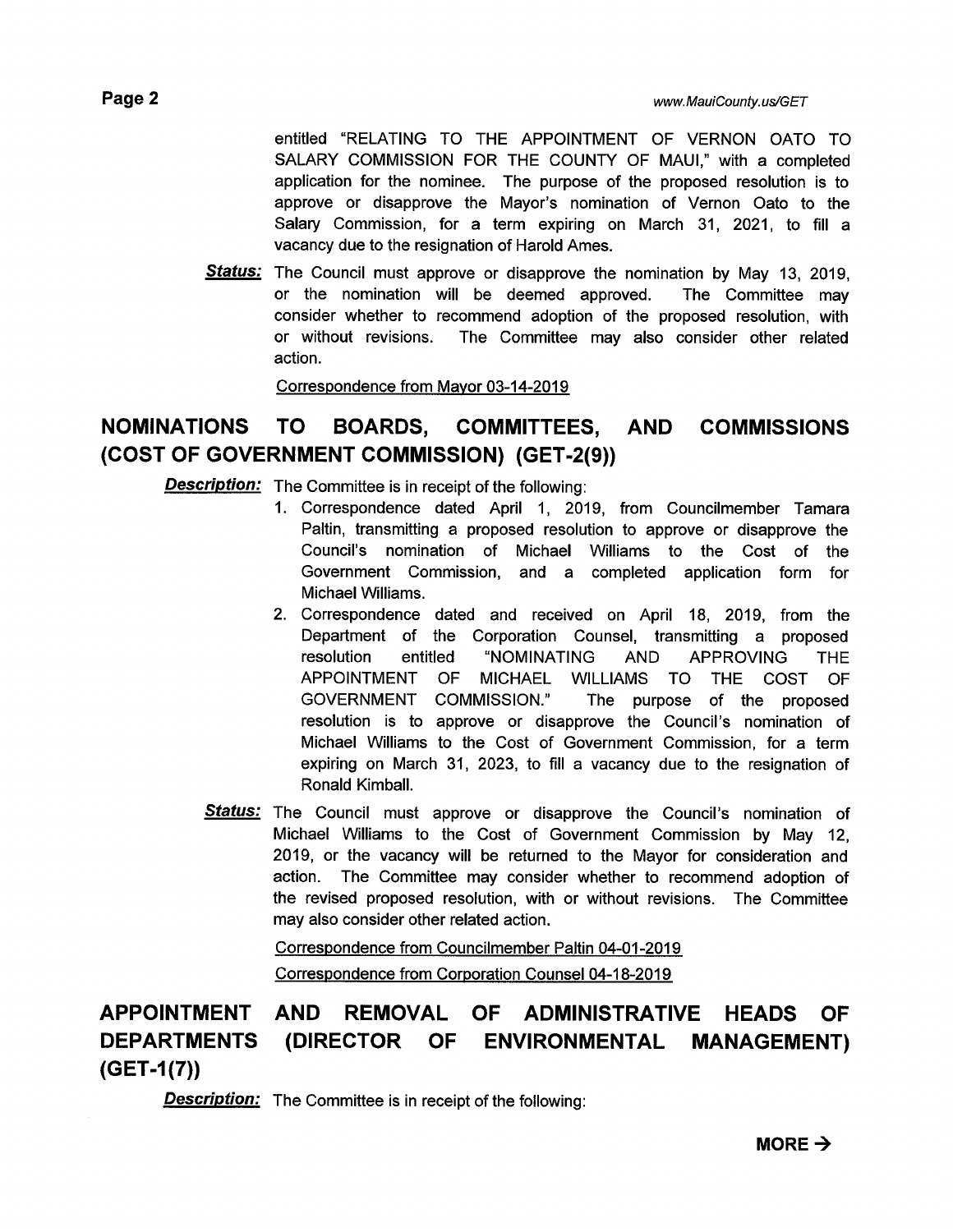entitled "RELATING TO THE APPOINTMENT OF VERNON OATO TO SALARY COMMISSION FOR THE COUNTY OF MAUI," with a completed application for the nominee. The purpose of the proposed resolution is to approve or disapprove the Mayor's nomination of Vernon Oato to the Salary Commission, for a term expiring on March 31, 2021, to fill a vacancy due to the resignation of Harold Ames.

Status: The Council must approve or disapprove the nomination by May 13, 2019, or the nomination will be deemed approved. The Committee may consider whether to recommend adoption of the proposed resolution, with or without revisions. The Committee may also consider other related action.

Correspondence from Mayor 03-14-2019

#### NOMINATIONS TO BOARDS, COMMITTEES, AND (COST OF GOVERNMENT COMMISSION) (GET-2(9)) COMMISSIONS

**Description:** The Committee is in receipt of the following:

- 1. Correspondence dated April 1, 2019, from Councilmember Tamara Paltin, transmitting a proposed resolution to approve or disapprove the Council's nomination of Michael Williams to the Cost of the Government Commission, and a completed application form for Michael Williams.
- 2. Correspondence dated and received on April 18, 2019, from the Department of the Corporation Counsel, transmitting a proposed resolution entitled "NOMINATING AND APPROVING THE APPOINTMENT OF MICHAEL WILLIAMS TO THE COST OF GOVERNMENT COMMISSION." The purpose of the proposed resolution is to approve or disapprove the Council's nomination of Michael Williams to the Cost of Government Commission, for a term expiring on March 31, 2023, to fill a vacancy due to the resignation of Ronald Kimball.
- Status: The Council must approve or disapprove the Council's nomination of Michael Williams to the Cost of Government Commission by May 12, 2019, or the vacancy will be returned to the Mayor for consideration and action. The Committee may consider whether to recommend adoption of the revised proposed resolution, with or without revisions. The Committee may also consider other related action.

Correspondence from Councilmember Paltin 04-01-2019 Correspondence from Corporation Counsel 04-18-2019

APPOINTMENT DEPARTMENTS  $(GET-1(7))$ AND REMOVAL OF ADMINISTRATIVE HEADS OF (DIRECTOR OF ENVIRONMENTAL MANAGEMENT)

**Description:** The Committee is in receipt of the following: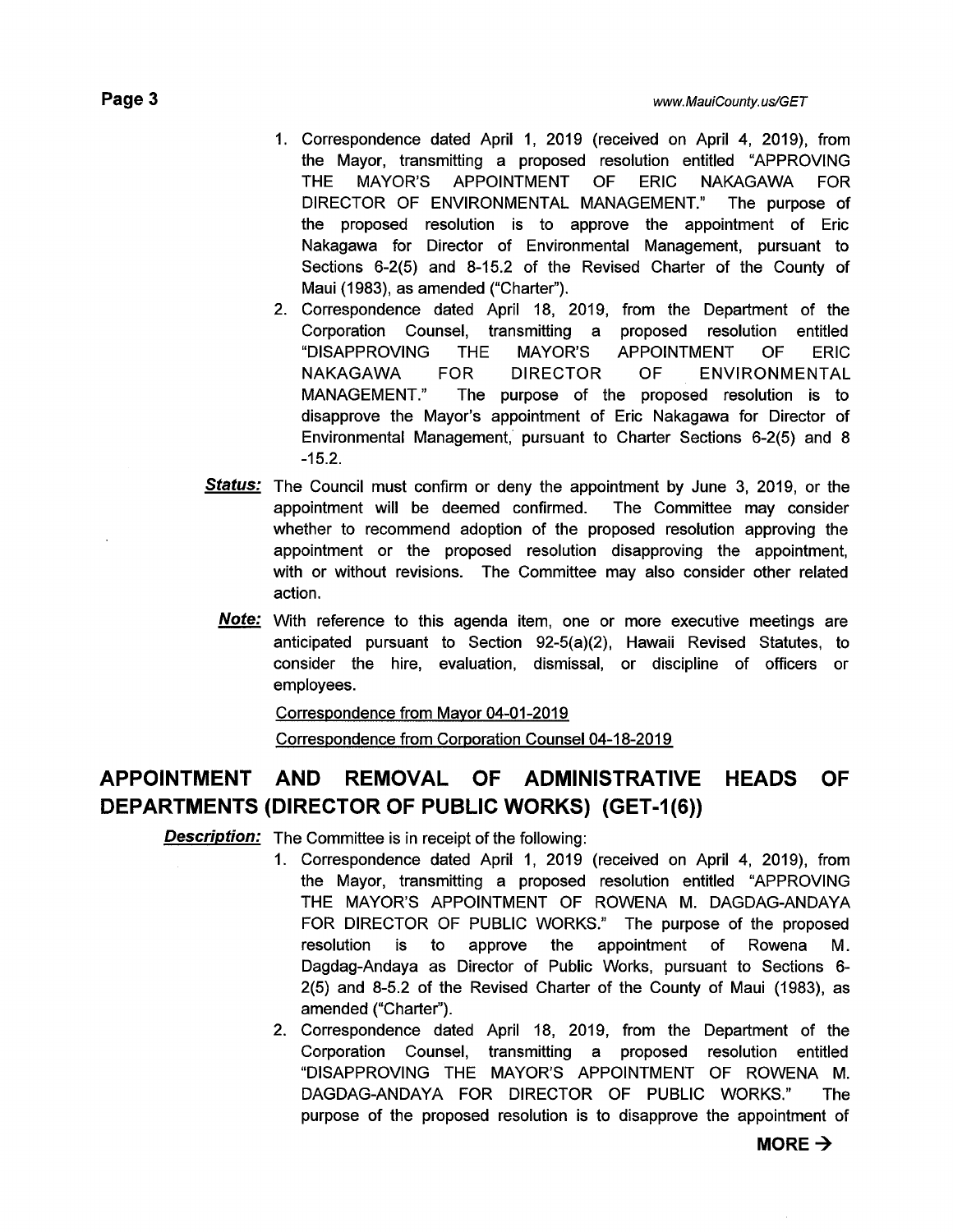- 1. Correspondence dated April 1, 2019 (received on April 4, 2019), from the Mayor, transmitting a proposed resolution entitled "APPROVING THE MAYOR'S APPOINTMENT OF ERIC NAKAGAWA FOR DIRECTOR OF ENVIRONMENTAL MANAGEMENT." The purpose of the proposed resolution is to approve the appointment of Eric Nakagawa for Director of Environmental Management, pursuant to Sections 6-2(5) and 8-15.2 of the Revised Charter of the County of Maui (1983), as amended ("Charter").
- 2. Correspondence dated April 18, 2019, from the Department of the Corporation Counsel, transmitting a proposed resolution entitled "DISAPPROVING THE MAYOR'S APPOINTMENT OF ERIC NAKAGAWA FOR DIRECTOR OF ENVIRONMENTAL MANAGEMENT." The purpose of the proposed resolution is to disapprove the Mayor's appointment of Eric Nakagawa for Director of Environmental Management, pursuant to Charter Sections 6-2(5) and 8 -15.2.
- Status: The Council must confirm or deny the appointment by June 3, 2019, or the appointment will be deemed confirmed. The Committee may consider whether to recommend adoption of the proposed resolution approving the appointment or the proposed resolution disapproving the appointment, with or without revisions. The Committee may also consider other related action.
- **Note:** With reference to this agenda item, one or more executive meetings are anticipated pursuant to Section 92-5(a)(2), Hawaii Revised Statutes, to consider the hire, evaluation, dismissal, or discipline of officers or employees.

Correspondence from Mayor 04-01-2019

Correspondence from Corporation Counsel 04-18-2019

## APPOINTMENT AND REMOVAL OF ADMINISTRATIVE HEADS OF DEPARTMENTS (DIRECTOR OF PUBLIC WORKS) (GET-1(6))

**Description:** The Committee is in receipt of the following:

- 1. Correspondence dated April 1, 2019 (received on April 4, 2019), from the Mayor, transmitting a proposed resolution entitled "APPROVING THE MAYOR'S APPOINTMENT OF ROWENA M. DAGDAG-ANDAYA FOR DIRECTOR OF PUBLIC WORKS." The purpose of the proposed resolution is to approve the appointment of Rowena M. Dagdag-Andaya as Director of Public Works, pursuant to Sections 6- 2(5) and 8-5.2 of the Revised Charter of the County of Maui (1983), as amended ("Charter").
- 2. Correspondence dated April 18, 2019, from the Department of the Corporation Counsel, transmitting a proposed resolution entitled "DISAPPROVING THE MAYOR'S APPOINTMENT OF ROWENA M. DAGDAG-ANDAYA FOR DIRECTOR OF PUBLIC WORKS." The purpose of the proposed resolution is to disapprove the appointment of

MORE  $\rightarrow$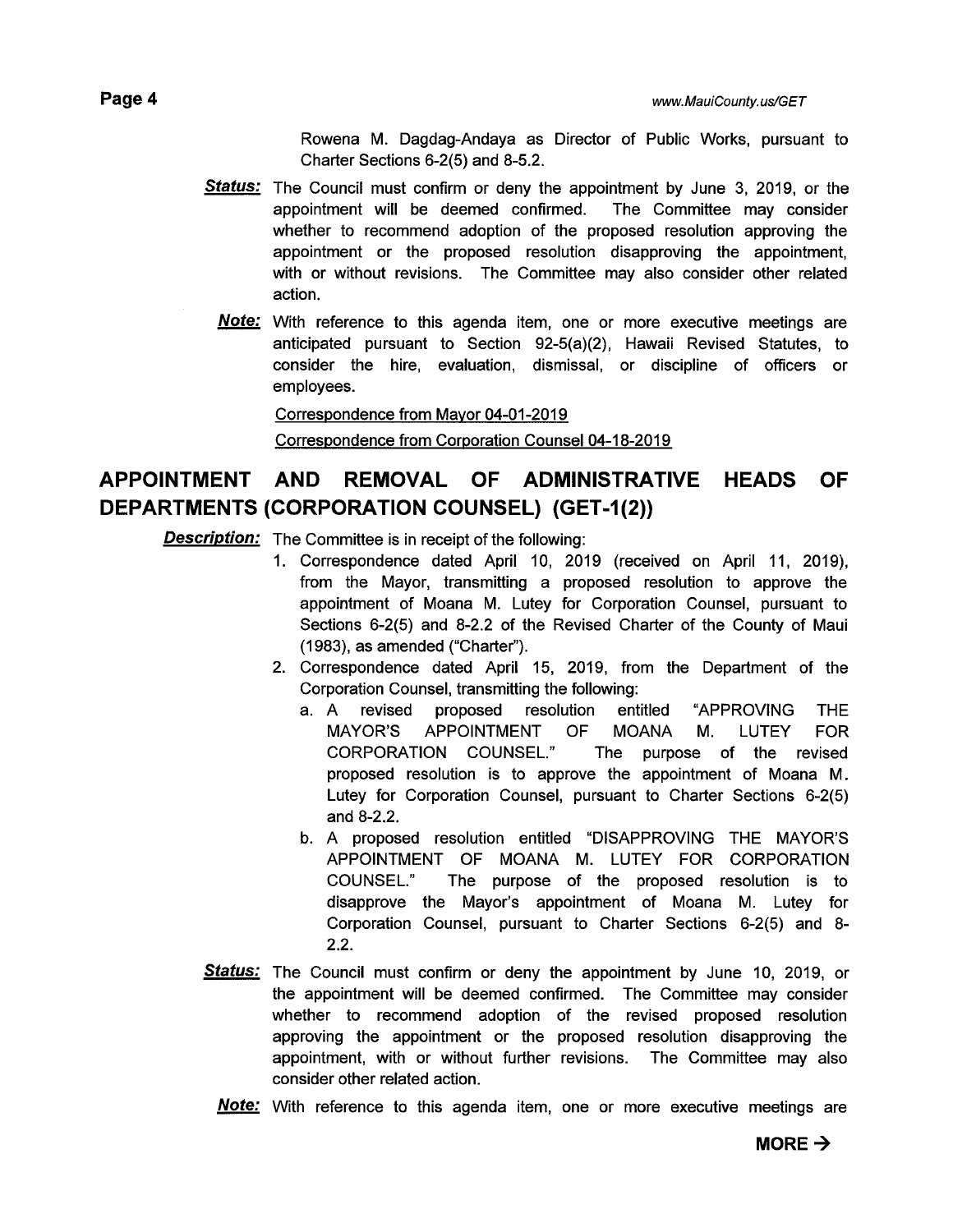Rowena M. Dagdag-Andaya as Director of Public Works, pursuant to Charter Sections 6-2(5) and 8-5.2.

- Status: The Council must confirm or deny the appointment by June 3, 2019, or the appointment will be deemed confirmed. The Committee may consider whether to recommend adoption of the proposed resolution approving the appointment or the proposed resolution disapproving the appointment, with or without revisions. The Committee may also consider other related action.
	- **Note:** With reference to this agenda item, one or more executive meetings are anticipated pursuant to Section 92-5(a)(2), Hawaii Revised Statutes, to consider the hire, evaluation, dismissal, or discipline of officers or employees.

#### Correspondence from Mayor 04-01-2019

Correspondence from Corporation Counsel 04-18-2019

## APPOINTMENT AND REMOVAL OF ADMINISTRATIVE HEADS OF DEPARTMENTS (CORPORATION COUNSEL) (GET-1(2))

**Description:** The Committee is in receipt of the following:

- 1. Correspondence dated April 10, 2019 (received on April 11, 2019), from the Mayor, transmitting a proposed resolution to approve the appointment of Moana M. Lutey for Corporation Counsel, pursuant to Sections 6-2(5) and 8-2.2 of the Revised Charter of the County of Maui (1983), as amended ("Charter").
- 2. Correspondence dated April 15, 2019, from the Department of the Corporation Counsel, transmitting the following:
	- a. A revised proposed resolution entitled "APPROVING THE MAYOR'S APPOINTMENT OF MOANA M. LUTEY FOR CORPORATION COUNSEL." The purpose of the revised proposed resolution is to approve the appointment of Moana M. Lutey for Corporation Counsel, pursuant to Charter Sections 6-2(5) and 8-2.2.
	- b. A proposed resolution entitled "DISAPPROVING THE MAYOR'S APPOINTMENT OF MOANA M. LUTEY FOR CORPORATION COUNSEL." The purpose of the proposed resolution is to disapprove the Mayor's appointment of Moana M. Lutey for Corporation Counsel, pursuant to Charter Sections 6-2(5) and 8- 2.2.
- Status: The Council must confirm or deny the appointment by June 10, 2019, or the appointment will be deemed confirmed. The Committee may consider whether to recommend adoption of the revised proposed resolution approving the appointment or the proposed resolution disapproving the appointment, with or without further revisions. The Committee may also consider other related action.
	- **Note:** With reference to this agenda item, one or more executive meetings are